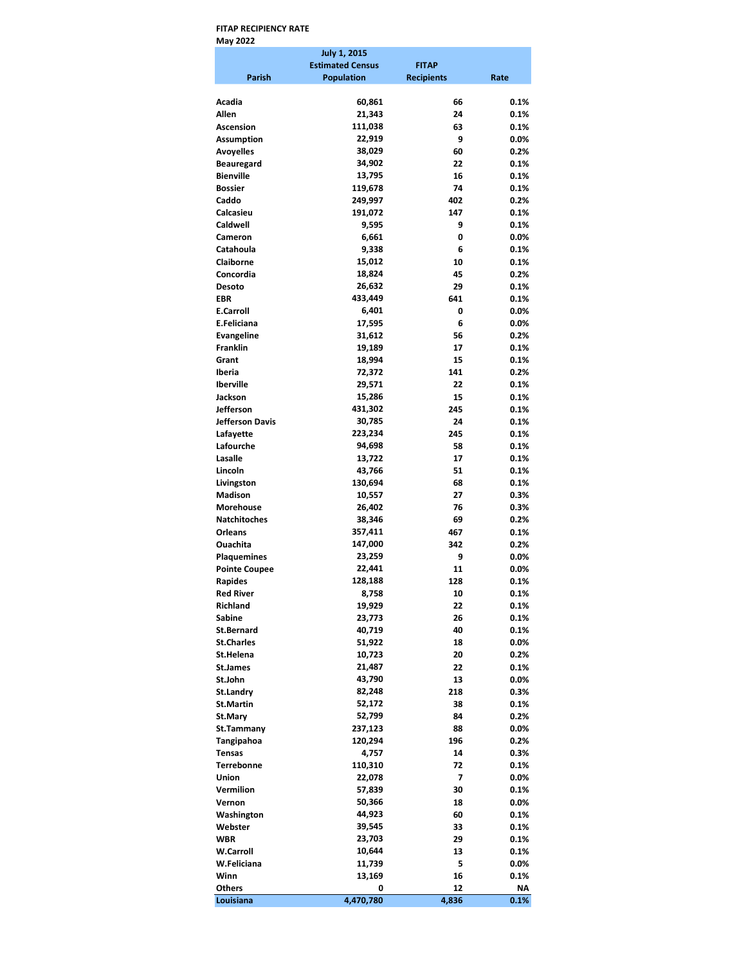# FITAP RECIPIENCY RATE May 2022

|                                        | <b>July 1, 2015</b>     |                   |                 |
|----------------------------------------|-------------------------|-------------------|-----------------|
|                                        | <b>Estimated Census</b> | <b>FITAP</b>      |                 |
| Parish                                 | <b>Population</b>       | <b>Recipients</b> | Rate            |
|                                        |                         |                   |                 |
| Acadia<br>Allen                        | 60,861<br>21,343        | 66<br>24          | 0.1%<br>0.1%    |
| <b>Ascension</b>                       | 111,038                 | 63                | 0.1%            |
| <b>Assumption</b>                      | 22,919                  | 9                 | $0.0\%$         |
| Avoyelles                              | 38,029                  | 60                | 0.2%            |
| Beauregard                             | 34,902                  | 22                | 0.1%            |
| <b>Bienville</b>                       | 13,795                  | 16                | 0.1%            |
| <b>Bossier</b>                         | 119,678                 | 74                | 0.1%            |
| Caddo                                  | 249,997                 | 402               | 0.2%            |
| Calcasieu                              | 191,072                 | 147               | 0.1%            |
| Caldwell                               | 9,595                   | 9                 | 0.1%            |
| Cameron                                | 6,661                   | 0                 | $0.0\%$         |
| Catahoula                              | 9,338                   | 6                 | 0.1%            |
| Claiborne                              | 15,012                  | 10                | 0.1%            |
| Concordia                              | 18,824                  | 45                | 0.2%            |
| Desoto                                 | 26,632                  | 29                | 0.1%            |
| EBR                                    | 433,449                 | 641               | 0.1%            |
| <b>E.Carroll</b>                       | 6,401                   | 0                 | $0.0\%$         |
| E.Feliciana                            | 17,595                  | 6                 | $0.0\%$         |
| <b>Evangeline</b>                      | 31,612                  | 56                | 0.2%            |
| <b>Franklin</b>                        | 19,189                  | 17                | 0.1%            |
| Grant                                  | 18,994                  | 15                | 0.1%            |
| Iberia                                 | 72,372                  | 141               | 0.2%            |
| <b>Iberville</b>                       | 29,571                  | 22                | 0.1%            |
| Jackson                                | 15,286                  | 15                | 0.1%            |
| Jefferson                              | 431,302                 | 245               | 0.1%            |
| Jefferson Davis                        | 30,785                  | 24                | 0.1%            |
| Lafayette                              | 223,234                 | 245               | 0.1%            |
| Lafourche                              | 94,698                  | 58                | 0.1%            |
| Lasalle                                | 13,722                  | 17                | 0.1%            |
| Lincoln                                | 43,766                  | 51                | 0.1%            |
| Livingston                             | 130,694                 | 68                | 0.1%            |
| Madison                                | 10,557                  | 27                | 0.3%            |
| <b>Morehouse</b>                       | 26,402                  | 76                | 0.3%            |
| <b>Natchitoches</b>                    | 38,346                  | 69                | 0.2%            |
| <b>Orleans</b>                         | 357,411                 | 467               | 0.1%            |
| Ouachita                               | 147,000                 | 342               | 0.2%            |
| <b>Plaquemines</b>                     | 23,259                  | 9                 | $0.0\%$         |
| <b>Pointe Coupee</b><br><b>Rapides</b> | 22,441<br>128,188       | 11<br>128         | $0.0\%$<br>0.1% |
| Red River                              | 8,758                   | 10                | 0.1%            |
| Richland                               | 19,929                  | 22                | 0.1%            |
| Sabine                                 | 23,773                  | 26                | 0.1%            |
| St.Bernard                             | 40,719                  | 40                | 0.1%            |
| <b>St.Charles</b>                      | 51,922                  | 18                | $0.0\%$         |
| St.Helena                              | 10,723                  | 20                | 0.2%            |
| St.James                               | 21,487                  | 22                | 0.1%            |
| St.John                                | 43,790                  | 13                | 0.0%            |
| St.Landry                              | 82,248                  | 218               | 0.3%            |
| <b>St.Martin</b>                       | 52,172                  | 38                | 0.1%            |
| St.Mary                                | 52,799                  | 84                | 0.2%            |
| St.Tammany                             | 237,123                 | 88                | 0.0%            |
| Tangipahoa                             | 120,294                 | 196               | 0.2%            |
| Tensas                                 | 4,757                   | 14                | 0.3%            |
| <b>Terrebonne</b>                      | 110,310                 | 72                | 0.1%            |
| Union                                  | 22,078                  | 7                 | $0.0\%$         |
| Vermilion                              | 57,839                  | 30                | 0.1%            |
| Vernon                                 | 50,366                  | 18                | 0.0%            |
| Washington                             | 44,923                  | 60                | 0.1%            |
| Webster                                | 39,545                  | 33                | 0.1%            |
| <b>WBR</b>                             | 23,703                  | 29                | 0.1%            |
| <b>W.Carroll</b>                       | 10,644                  | 13                | 0.1%            |
| W.Feliciana                            | 11,739                  | 5                 | $0.0\%$         |
| Winn                                   | 13,169                  | 16                | 0.1%            |
| Others                                 | 0                       | 12                | ΝA              |
| Louisiana                              | 4,470,780               | 4,836             | 0.1%            |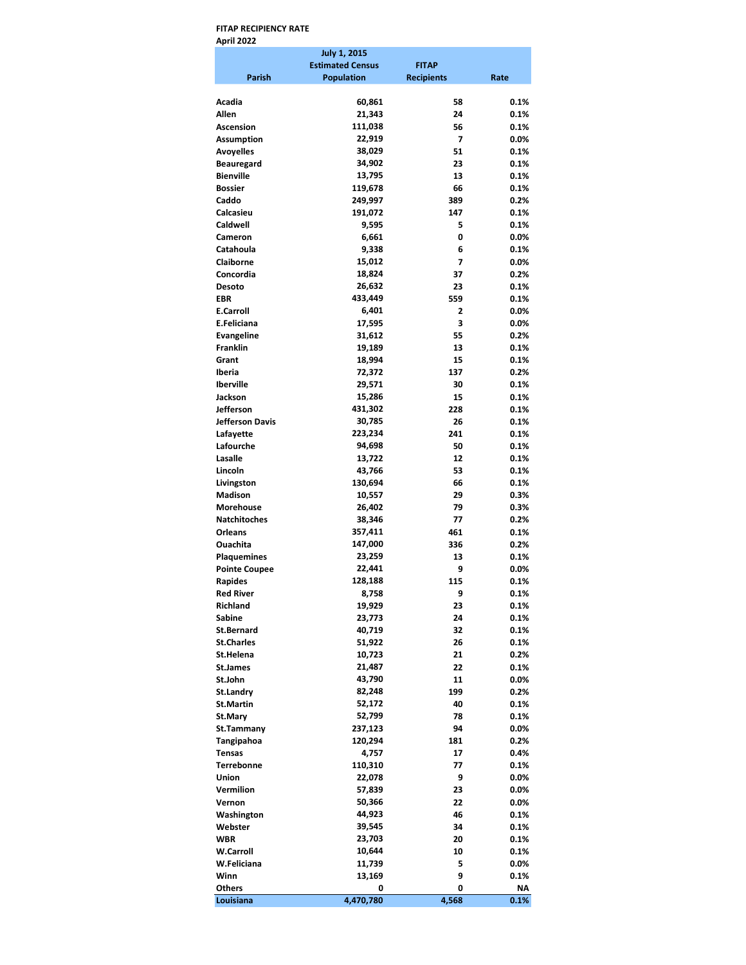# FITAP RECIPIENCY RATE April 2022

|                                    | <b>July 1, 2015</b>     |                   |              |
|------------------------------------|-------------------------|-------------------|--------------|
|                                    | <b>Estimated Census</b> | <b>FITAP</b>      |              |
| Parish                             | <b>Population</b>       | <b>Recipients</b> | Rate         |
|                                    |                         |                   |              |
| Acadia                             | 60,861                  | 58                | 0.1%         |
| Allen<br><b>Ascension</b>          | 21,343                  | 24<br>56          | 0.1%<br>0.1% |
| <b>Assumption</b>                  | 111,038<br>22,919       | 7                 | $0.0\%$      |
| <b>Avoyelles</b>                   | 38,029                  | 51                | 0.1%         |
| <b>Beauregard</b>                  | 34,902                  | 23                | 0.1%         |
| <b>Bienville</b>                   | 13,795                  | 13                | 0.1%         |
| <b>Bossier</b>                     | 119,678                 | 66                | 0.1%         |
| Caddo                              | 249,997                 | 389               | 0.2%         |
| Calcasieu                          | 191,072                 | 147               | 0.1%         |
| Caldwell                           | 9,595                   | 5                 | 0.1%         |
| Cameron                            | 6,661                   | 0                 | $0.0\%$      |
| Catahoula                          | 9,338                   | 6                 | 0.1%         |
| Claiborne                          | 15,012                  | 7                 | 0.0%         |
| Concordia                          | 18,824                  | 37                | 0.2%         |
| Desoto                             | 26,632                  | 23                | 0.1%         |
| <b>EBR</b>                         | 433,449                 | 559               | 0.1%         |
| <b>E.Carroll</b>                   | 6,401                   | 2                 | $0.0\%$      |
| E.Feliciana                        | 17,595                  | 3                 | $0.0\%$      |
| <b>Evangeline</b>                  | 31,612                  | 55                | 0.2%         |
| <b>Franklin</b>                    | 19,189                  | 13                | 0.1%         |
| Grant                              | 18,994                  | 15                | 0.1%         |
| Iberia                             | 72,372                  | 137               | 0.2%         |
| <b>Iberville</b>                   | 29,571                  | 30                | 0.1%         |
| Jackson                            | 15,286                  | 15                | 0.1%         |
| <b>Jefferson</b>                   | 431,302                 | 228               | 0.1%         |
| <b>Jefferson Davis</b>             | 30,785                  | 26                | 0.1%         |
| Lafayette                          | 223,234                 | 241               | 0.1%         |
| Lafourche                          | 94,698                  | 50                | 0.1%         |
| Lasalle                            | 13,722                  | 12                | 0.1%         |
| Lincoln                            | 43,766                  | 53                | 0.1%         |
| Livingston                         | 130,694                 | 66                | 0.1%         |
| <b>Madison</b>                     | 10,557                  | 29                | 0.3%         |
| <b>Morehouse</b>                   | 26,402                  | 79                | 0.3%         |
| <b>Natchitoches</b>                | 38,346                  | 77                | 0.2%         |
| <b>Orleans</b>                     | 357,411                 | 461               | 0.1%         |
| Ouachita                           | 147,000                 | 336               | 0.2%         |
| <b>Plaquemines</b>                 | 23,259                  | 13                | 0.1%         |
| <b>Pointe Coupee</b>               | 22,441                  | 9                 | 0.0%         |
| <b>Rapides</b><br><b>Red River</b> | 128,188<br>8,758        | 115<br>9          | 0.1%         |
|                                    | 19,929                  |                   | 0.1%<br>0.1% |
| Richland<br>Sabine                 | 23,773                  | 23<br>24          | 0.1%         |
| St.Bernard                         | 40,719                  | 32                | 0.1%         |
| <b>St.Charles</b>                  | 51,922                  | 26                | 0.1%         |
| St.Helena                          | 10,723                  | 21                | 0.2%         |
| St.James                           | 21,487                  | 22                | 0.1%         |
| St.John                            | 43,790                  | 11                | 0.0%         |
| St.Landry                          | 82,248                  | 199               | 0.2%         |
| <b>St.Martin</b>                   | 52,172                  | 40                | 0.1%         |
| St.Mary                            | 52,799                  | 78                | 0.1%         |
| St.Tammany                         | 237,123                 | 94                | 0.0%         |
| Tangipahoa                         | 120,294                 | 181               | 0.2%         |
| <b>Tensas</b>                      | 4,757                   | 17                | 0.4%         |
| <b>Terrebonne</b>                  | 110,310                 | 77                | 0.1%         |
| Union                              | 22,078                  | 9                 | $0.0\%$      |
| Vermilion                          | 57,839                  | 23                | $0.0\%$      |
| Vernon                             | 50,366                  | 22                | 0.0%         |
| Washington                         | 44,923                  | 46                | 0.1%         |
| Webster                            | 39,545                  | 34                | 0.1%         |
| <b>WBR</b>                         | 23,703                  | 20                | 0.1%         |
| <b>W.Carroll</b>                   | 10,644                  | 10                | 0.1%         |
| W.Feliciana                        | 11,739                  | 5                 | $0.0\%$      |
| Winn                               | 13,169                  | 9                 | 0.1%         |
| Others                             | 0                       | 0                 | ΝA           |
| Louisiana                          | 4,470,780               | 4,568             | 0.1%         |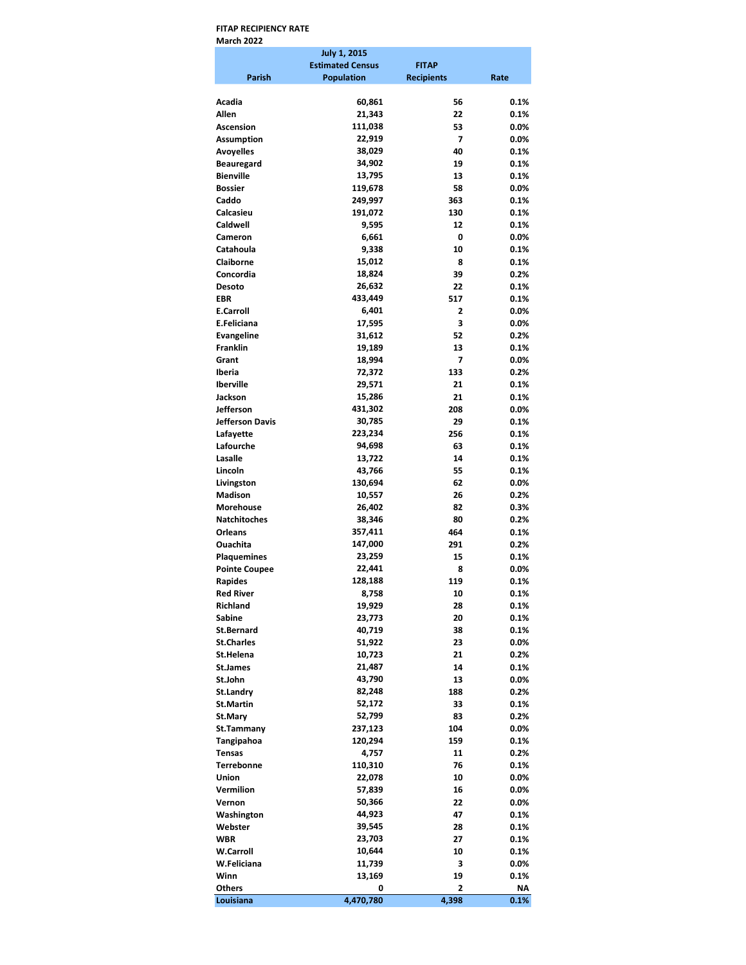# FITAP RECIPIENCY RATE March 2022

|                                        | <b>July 1, 2015</b>     |                   |                 |
|----------------------------------------|-------------------------|-------------------|-----------------|
|                                        | <b>Estimated Census</b> | <b>FITAP</b>      |                 |
| Parish                                 | <b>Population</b>       | <b>Recipients</b> | Rate            |
|                                        |                         |                   |                 |
| Acadia<br>Allen                        | 60,861<br>21,343        | 56<br>22          | 0.1%<br>0.1%    |
| <b>Ascension</b>                       | 111,038                 | 53                | 0.0%            |
| <b>Assumption</b>                      | 22,919                  | 7                 | $0.0\%$         |
| <b>Avoyelles</b>                       | 38,029                  | 40                | 0.1%            |
| <b>Beauregard</b>                      | 34,902                  | 19                | 0.1%            |
| <b>Bienville</b>                       | 13,795                  | 13                | 0.1%            |
| <b>Bossier</b>                         | 119,678                 | 58                | $0.0\%$         |
| Caddo                                  | 249,997                 | 363               | 0.1%            |
| Calcasieu                              | 191,072                 | 130               | 0.1%            |
| Caldwell                               | 9,595                   | 12                | 0.1%            |
| Cameron                                | 6,661                   | 0                 | $0.0\%$         |
| Catahoula                              | 9,338                   | 10                | 0.1%            |
| Claiborne                              | 15,012                  | 8                 | 0.1%            |
| Concordia                              | 18,824                  | 39                | 0.2%            |
| Desoto                                 | 26,632                  | 22                | 0.1%            |
| <b>EBR</b>                             | 433,449                 | 517               | 0.1%            |
| <b>E.Carroll</b>                       | 6,401                   | 2                 | $0.0\%$         |
| E.Feliciana                            | 17,595                  | 3                 | $0.0\%$         |
| <b>Evangeline</b>                      | 31,612                  | 52                | 0.2%            |
| <b>Franklin</b>                        | 19,189                  | 13                | 0.1%            |
| Grant                                  | 18,994                  | 7                 | $0.0\%$         |
| Iberia                                 | 72,372                  | 133               | 0.2%            |
| <b>Iberville</b>                       | 29,571                  | 21                | 0.1%            |
| Jackson                                | 15,286                  | 21                | 0.1%            |
| Jefferson                              | 431,302                 | 208               | $0.0\%$         |
| <b>Jefferson Davis</b>                 | 30,785                  | 29                | 0.1%            |
| Lafayette                              | 223,234                 | 256               | 0.1%            |
| Lafourche                              | 94,698                  | 63                | 0.1%            |
| Lasalle                                | 13,722                  | 14                | 0.1%            |
| Lincoln                                | 43,766                  | 55                | 0.1%            |
| Livingston                             | 130,694                 | 62                | $0.0\%$         |
| <b>Madison</b>                         | 10,557                  | 26                | 0.2%            |
| <b>Morehouse</b>                       | 26,402                  | 82                | 0.3%            |
| <b>Natchitoches</b>                    | 38,346                  | 80                | 0.2%            |
| <b>Orleans</b>                         | 357,411                 | 464               | 0.1%            |
| Ouachita                               | 147,000                 | 291               | 0.2%            |
| <b>Plaquemines</b>                     | 23,259                  | 15                | 0.1%            |
| <b>Pointe Coupee</b><br><b>Rapides</b> | 22,441                  | 8<br>119          | $0.0\%$<br>0.1% |
| <b>Red River</b>                       | 128,188<br>8,758        | 10                | 0.1%            |
| Richland                               | 19,929                  | 28                | 0.1%            |
| Sabine                                 | 23,773                  | 20                | 0.1%            |
| <b>St.Bernard</b>                      | 40,719                  | 38                | 0.1%            |
| <b>St.Charles</b>                      | 51,922                  | 23                | 0.0%            |
| St.Helena                              | 10,723                  | 21                | 0.2%            |
| St.James                               | 21,487                  | 14                | 0.1%            |
| St.John                                | 43,790                  | 13                | 0.0%            |
| St.Landry                              | 82,248                  | 188               | 0.2%            |
| <b>St.Martin</b>                       | 52,172                  | 33                | 0.1%            |
| St.Mary                                | 52,799                  | 83                | 0.2%            |
| St.Tammany                             | 237,123                 | 104               | 0.0%            |
| Tangipahoa                             | 120,294                 | 159               | 0.1%            |
| Tensas                                 | 4,757                   | 11                | 0.2%            |
| <b>Terrebonne</b>                      | 110,310                 | 76                | 0.1%            |
| Union                                  | 22,078                  | 10                | $0.0\%$         |
| Vermilion                              | 57,839                  | 16                | $0.0\%$         |
| Vernon                                 | 50,366                  | 22                | 0.0%            |
| Washington                             | 44,923                  | 47                | 0.1%            |
| Webster                                | 39,545                  | 28                | 0.1%            |
| <b>WBR</b>                             | 23,703                  | 27                | 0.1%            |
| <b>W.Carroll</b>                       | 10,644                  | 10                | 0.1%            |
| W.Feliciana                            | 11,739                  | 3                 | $0.0\%$         |
| Winn                                   | 13,169                  | 19                | 0.1%            |
| <b>Others</b>                          | 0                       | 2                 | ΝA              |
| Louisiana                              | 4,470,780               | 4,398             | 0.1%            |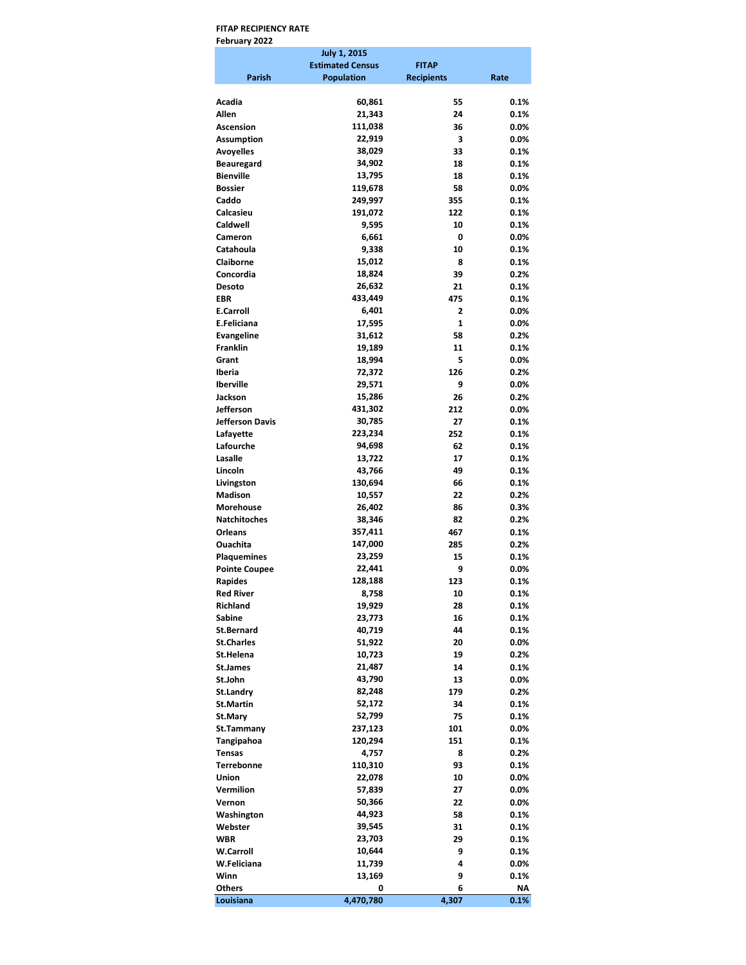# FITAP RECIPIENCY RATE February 2022

|                              | <b>July 1, 2015</b>     |                   |                 |
|------------------------------|-------------------------|-------------------|-----------------|
|                              | <b>Estimated Census</b> | <b>FITAP</b>      |                 |
| Parish                       | <b>Population</b>       | <b>Recipients</b> | Rate            |
|                              |                         |                   |                 |
| Acadia                       | 60,861                  | 55                | 0.1%            |
| Allen<br><b>Ascension</b>    | 21,343                  | 24<br>36          | 0.1%<br>0.0%    |
| <b>Assumption</b>            | 111,038<br>22,919       | 3                 | $0.0\%$         |
| <b>Avoyelles</b>             | 38,029                  | 33                | 0.1%            |
| <b>Beauregard</b>            | 34,902                  | 18                | 0.1%            |
| <b>Bienville</b>             | 13,795                  | 18                | 0.1%            |
| <b>Bossier</b>               | 119,678                 | 58                | $0.0\%$         |
| Caddo                        | 249,997                 | 355               | 0.1%            |
| Calcasieu                    | 191,072                 | 122               | 0.1%            |
| Caldwell                     | 9,595                   | 10                | 0.1%            |
| Cameron                      | 6,661                   | 0                 | $0.0\%$         |
| Catahoula                    | 9,338                   | 10                | 0.1%            |
| Claiborne                    | 15,012                  | 8                 | 0.1%            |
| Concordia                    | 18,824                  | 39                | 0.2%            |
| Desoto                       | 26,632                  | 21                | 0.1%            |
| <b>EBR</b>                   | 433,449                 | 475               | 0.1%            |
| <b>E.Carroll</b>             | 6,401                   | 2                 | $0.0\%$         |
| E.Feliciana                  | 17,595                  | 1                 | $0.0\%$         |
| <b>Evangeline</b>            | 31,612                  | 58                | 0.2%            |
| <b>Franklin</b>              | 19,189                  | 11                | 0.1%            |
| Grant                        | 18,994                  | 5                 | $0.0\%$         |
| Iberia                       | 72,372                  | 126               | 0.2%            |
| <b>Iberville</b>             | 29,571                  | 9                 | 0.0%            |
| Jackson                      | 15,286                  | 26                | 0.2%            |
| <b>Jefferson</b>             | 431,302                 | 212               | $0.0\%$         |
| <b>Jefferson Davis</b>       | 30,785                  | 27                | 0.1%            |
| Lafayette                    | 223,234                 | 252               | 0.1%            |
| Lafourche                    | 94,698                  | 62                | 0.1%            |
| Lasalle                      | 13,722                  | 17                | 0.1%            |
| Lincoln                      | 43,766                  | 49<br>66          | 0.1%            |
| Livingston<br><b>Madison</b> | 130,694                 | 22                | 0.1%<br>0.2%    |
| <b>Morehouse</b>             | 10,557<br>26,402        | 86                | 0.3%            |
| <b>Natchitoches</b>          | 38,346                  | 82                | 0.2%            |
| <b>Orleans</b>               | 357,411                 | 467               | 0.1%            |
| Ouachita                     | 147,000                 | 285               | 0.2%            |
| <b>Plaquemines</b>           | 23,259                  | 15                | 0.1%            |
| <b>Pointe Coupee</b>         | 22,441                  | 9                 | $0.0\%$         |
| <b>Rapides</b>               | 128,188                 | 123               | 0.1%            |
| <b>Red River</b>             | 8,758                   | 10                | 0.1%            |
| Richland                     | 19,929                  | 28                | 0.1%            |
| Sabine                       | 23,773                  | 16                | 0.1%            |
| <b>St.Bernard</b>            | 40,719                  | 44                | 0.1%            |
| <b>St.Charles</b>            | 51,922                  | 20                | $0.0\%$         |
| St.Helena                    | 10,723                  | 19                | 0.2%            |
| St.James                     | 21,487                  | 14                | 0.1%            |
| St.John                      | 43,790                  | 13                | 0.0%            |
| St.Landry                    | 82,248                  | 179               | 0.2%            |
| <b>St.Martin</b>             | 52,172                  | 34                | 0.1%            |
| St.Mary                      | 52,799                  | 75                | 0.1%            |
| St.Tammany                   | 237,123                 | 101               | 0.0%            |
| Tangipahoa                   | 120,294                 | 151               | 0.1%            |
| <b>Tensas</b>                | 4,757                   | 8                 | 0.2%            |
| <b>Terrebonne</b>            | 110,310                 | 93                | 0.1%            |
| Union                        | 22,078                  | 10                | $0.0\%$         |
| Vermilion                    | 57,839                  | 27                | $0.0\%$         |
| Vernon                       | 50,366                  | 22                | 0.0%            |
| Washington                   | 44,923                  | 58                | 0.1%            |
| Webster                      | 39,545                  | 31                | 0.1%            |
| <b>WBR</b>                   | 23,703                  | 29                | 0.1%            |
| <b>W.Carroll</b>             | 10,644                  | 9<br>4            | 0.1%            |
| W.Feliciana<br>Winn          | 11,739<br>13,169        | 9                 | $0.0\%$<br>0.1% |
| Others                       | 0                       | 6                 | ΝA              |
| Louisiana                    | 4,470,780               | 4,307             | 0.1%            |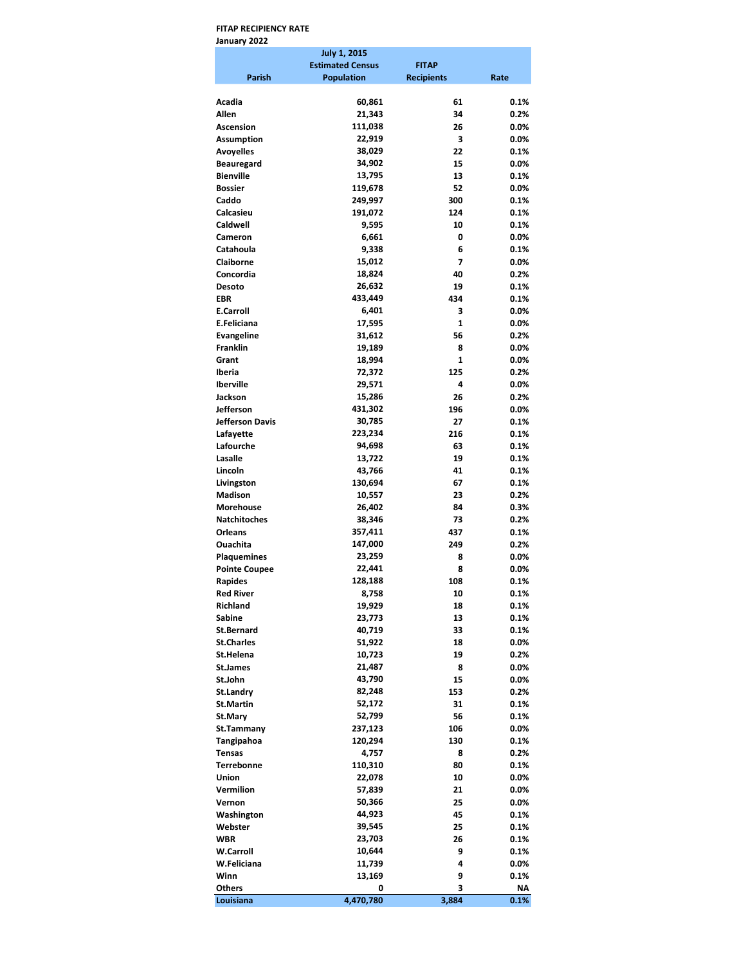# FITAP RECIPIENCY RATE January 2022

|                                 | <b>July 1, 2015</b>     |                   |                 |
|---------------------------------|-------------------------|-------------------|-----------------|
|                                 | <b>Estimated Census</b> | <b>FITAP</b>      |                 |
| Parish                          | <b>Population</b>       | <b>Recipients</b> | Rate            |
| Acadia                          | 60,861                  | 61                | 0.1%            |
| Allen                           | 21,343                  | 34                | 0.2%            |
| Ascension                       | 111,038                 | 26                | $0.0\%$         |
| Assumption                      | 22,919                  | 3                 | 0.0%            |
| <b>Avoyelles</b>                | 38,029                  | 22                | 0.1%            |
| Beauregard                      | 34,902                  | 15                | $0.0\%$         |
| <b>Bienville</b>                | 13,795                  | 13                | 0.1%            |
| <b>Bossier</b>                  | 119,678                 | 52                | $0.0\%$         |
| Caddo                           | 249,997                 | 300               | 0.1%            |
| Calcasieu                       | 191,072                 | 124               | 0.1%            |
| Caldwell                        | 9,595                   | 10                | 0.1%            |
| Cameron                         | 6,661                   | 0                 | $0.0\%$         |
| Catahoula                       | 9,338                   | 6                 | 0.1%            |
| <b>Claiborne</b>                | 15,012                  | 7                 | $0.0\%$<br>0.2% |
| Concordia<br><b>Desoto</b>      | 18,824<br>26,632        | 40<br>19          | 0.1%            |
| EBR                             | 433,449                 | 434               | 0.1%            |
| <b>E.Carroll</b>                | 6,401                   | 3                 | 0.0%            |
| E.Feliciana                     | 17,595                  | 1                 | 0.0%            |
| <b>Evangeline</b>               | 31,612                  | 56                | 0.2%            |
| Franklin                        | 19,189                  | 8                 | 0.0%            |
| Grant                           | 18,994                  | 1                 | $0.0\%$         |
| Iberia                          | 72,372                  | 125               | 0.2%            |
| <b>Iberville</b>                | 29,571                  | 4                 | 0.0%            |
| Jackson                         | 15,286                  | 26                | 0.2%            |
| Jefferson                       | 431,302                 | 196               | 0.0%            |
| Jefferson Davis                 | 30,785                  | 27                | 0.1%            |
| Lafayette                       | 223,234                 | 216               | 0.1%            |
| Lafourche                       | 94,698                  | 63                | 0.1%            |
| Lasalle                         | 13,722                  | 19                | 0.1%            |
| Lincoln                         | 43,766                  | 41<br>67          | 0.1%<br>0.1%    |
| Livingston<br>Madison           | 130,694<br>10,557       | 23                | 0.2%            |
| <b>Morehouse</b>                | 26,402                  | 84                | 0.3%            |
| <b>Natchitoches</b>             | 38,346                  | 73                | 0.2%            |
| <b>Orleans</b>                  | 357,411                 | 437               | 0.1%            |
| Ouachita                        | 147,000                 | 249               | 0.2%            |
| <b>Plaquemines</b>              | 23,259                  | 8                 | $0.0\%$         |
| <b>Pointe Coupee</b>            | 22,441                  | 8                 | $0.0\%$         |
| <b>Rapides</b>                  | 128,188                 | 108               | 0.1%            |
| Red River                       | 8,758                   | 10                | 0.1%            |
| Richland                        | 19,929                  | 18                | 0.1%            |
| Sabine                          | 23,773                  | 13                | 0.1%            |
| St.Bernard                      | 40,719                  | 33                | 0.1%            |
| <b>St.Charles</b>               | 51,922                  | 18<br>19          | $0.0\%$         |
| St.Helena<br>St.James           | 10,723<br>21,487        | 8                 | 0.2%<br>$0.0\%$ |
| St.John                         | 43,790                  | 15                | $0.0\%$         |
| St.Landry                       | 82,248                  | 153               | $0.2\%$         |
| <b>St.Martin</b>                | 52,172                  | 31                | 0.1%            |
| St.Mary                         | 52,799                  | 56                | 0.1%            |
| St.Tammany                      | 237,123                 | 106               | $0.0\%$         |
| Tangipahoa                      | 120,294                 | 130               | 0.1%            |
| <b>Tensas</b>                   | 4,757                   | 8                 | 0.2%            |
| <b>Terrebonne</b>               | 110,310                 | 80                | 0.1%            |
| Union                           | 22,078                  | 10                | $0.0\%$         |
| Vermilion                       | 57,839                  | 21                | $0.0\%$         |
| Vernon                          | 50,366                  | 25                | $0.0\%$         |
| Washington                      | 44,923                  | 45                | 0.1%            |
| Webster                         | 39,545                  | 25                | 0.1%            |
| <b>WBR</b>                      | 23,703                  | 26                | 0.1%            |
| <b>W.Carroll</b><br>W.Feliciana | 10,644<br>11,739        | 9<br>4            | 0.1%<br>$0.0\%$ |
| Winn                            | 13,169                  | 9                 | 0.1%            |
| <b>Others</b>                   | 0                       | 3                 | NΑ              |
| Louisiana                       | 4,470,780               | 3,884             | 0.1%            |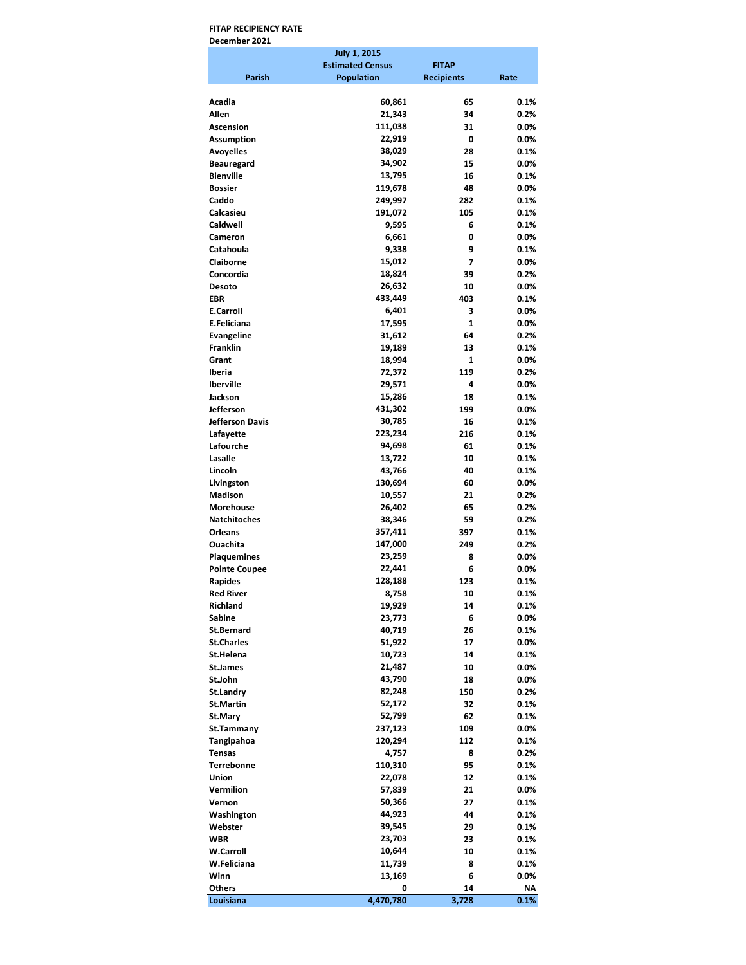# FITAP RECIPIENCY RATE December 2021

|                      | <b>July 1, 2015</b>     |                   |         |
|----------------------|-------------------------|-------------------|---------|
|                      | <b>Estimated Census</b> | <b>FITAP</b>      |         |
| Parish               | <b>Population</b>       | <b>Recipients</b> | Rate    |
|                      |                         |                   |         |
| Acadia               | 60,861                  | 65                | 0.1%    |
| Allen                | 21,343                  | 34                | 0.2%    |
| <b>Ascension</b>     | 111,038                 | 31                | 0.0%    |
| <b>Assumption</b>    | 22,919                  | 0                 | 0.0%    |
| <b>Avoyelles</b>     | 38,029                  | 28                | 0.1%    |
| <b>Beauregard</b>    | 34,902                  | 15                | 0.0%    |
| <b>Bienville</b>     | 13,795                  | 16                | 0.1%    |
| <b>Bossier</b>       | 119,678                 | 48                | 0.0%    |
| Caddo                | 249,997                 | 282               | 0.1%    |
| Calcasieu            | 191,072                 | 105               | 0.1%    |
| Caldwell             | 9,595                   | 6                 | 0.1%    |
| Cameron              | 6,661                   | 0                 | 0.0%    |
| Catahoula            | 9,338                   | 9                 | 0.1%    |
| Claiborne            | 15,012                  | 7                 | 0.0%    |
| Concordia            | 18,824                  | 39                | 0.2%    |
| Desoto               | 26,632                  | 10                | 0.0%    |
| EBR                  | 433,449                 | 403               | 0.1%    |
| <b>E.Carroll</b>     | 6,401                   | 3                 | 0.0%    |
| E.Feliciana          | 17,595                  | 1                 | 0.0%    |
| Evangeline           | 31,612                  | 64                | 0.2%    |
| <b>Franklin</b>      | 19,189                  | 13                | 0.1%    |
| Grant                | 18,994                  | 1                 | 0.0%    |
| Iberia               | 72,372                  | 119               | 0.2%    |
| <b>Iberville</b>     | 29,571                  | 4                 | 0.0%    |
| Jackson              | 15,286                  | 18                | 0.1%    |
| Jefferson            | 431,302                 | 199               | 0.0%    |
| Jefferson Davis      | 30,785                  | 16                | 0.1%    |
| Lafayette            | 223,234                 | 216               | 0.1%    |
| Lafourche            | 94,698                  | 61                | 0.1%    |
| Lasalle              | 13,722                  | 10                | 0.1%    |
| Lincoln              | 43,766                  | 40                | 0.1%    |
| Livingston           | 130,694                 | 60                | 0.0%    |
| <b>Madison</b>       | 10,557                  | 21                | 0.2%    |
| <b>Morehouse</b>     | 26,402                  | 65                | 0.2%    |
| <b>Natchitoches</b>  | 38,346                  | 59                | 0.2%    |
| <b>Orleans</b>       | 357,411                 | 397               | 0.1%    |
| Ouachita             | 147,000                 | 249               | 0.2%    |
| <b>Plaquemines</b>   | 23,259                  | 8                 | 0.0%    |
|                      | 22,441                  | 6                 | 0.0%    |
| <b>Pointe Coupee</b> | 128,188                 | 123               | 0.1%    |
| Rapides<br>Red River | 8,758                   | 10                | 0.1%    |
|                      |                         |                   |         |
| Richland             | 19,929                  | 14                | 0.1%    |
| Sabine               | 23,773                  | 6                 | 0.0%    |
| St.Bernard           | 40,719                  | 26                | 0.1%    |
| <b>St.Charles</b>    | 51,922                  | 17                | 0.0%    |
| St.Helena            | 10,723                  | 14                | 0.1%    |
| St.James             | 21,487                  | 10                | $0.0\%$ |
| St.John              | 43,790                  | 18                | $0.0\%$ |
| St.Landry            | 82,248                  | 150               | 0.2%    |
| <b>St.Martin</b>     | 52,172                  | 32                | 0.1%    |
| St.Mary              | 52,799                  | 62                | 0.1%    |
| St.Tammany           | 237,123                 | 109               | 0.0%    |
| Tangipahoa           | 120,294                 | 112               | 0.1%    |
| Tensas               | 4,757                   | 8                 | 0.2%    |
| <b>Terrebonne</b>    | 110,310                 | 95                | 0.1%    |
| Union                | 22,078                  | 12                | 0.1%    |
| Vermilion            | 57,839                  | 21                | $0.0\%$ |
| Vernon               | 50,366                  | 27                | 0.1%    |
| Washington           | 44,923                  | 44                | 0.1%    |
| Webster              | 39,545                  | 29                | 0.1%    |
| WBR                  | 23,703                  | 23                | 0.1%    |
| <b>W.Carroll</b>     | 10,644                  | 10                | 0.1%    |
| W.Feliciana          | 11,739                  | 8                 | 0.1%    |
| Winn                 | 13,169                  | 6                 | 0.0%    |
| <b>Others</b>        | 0                       | 14                | ΝA      |
| Louisiana            | 4,470,780               | 3,728             | 0.1%    |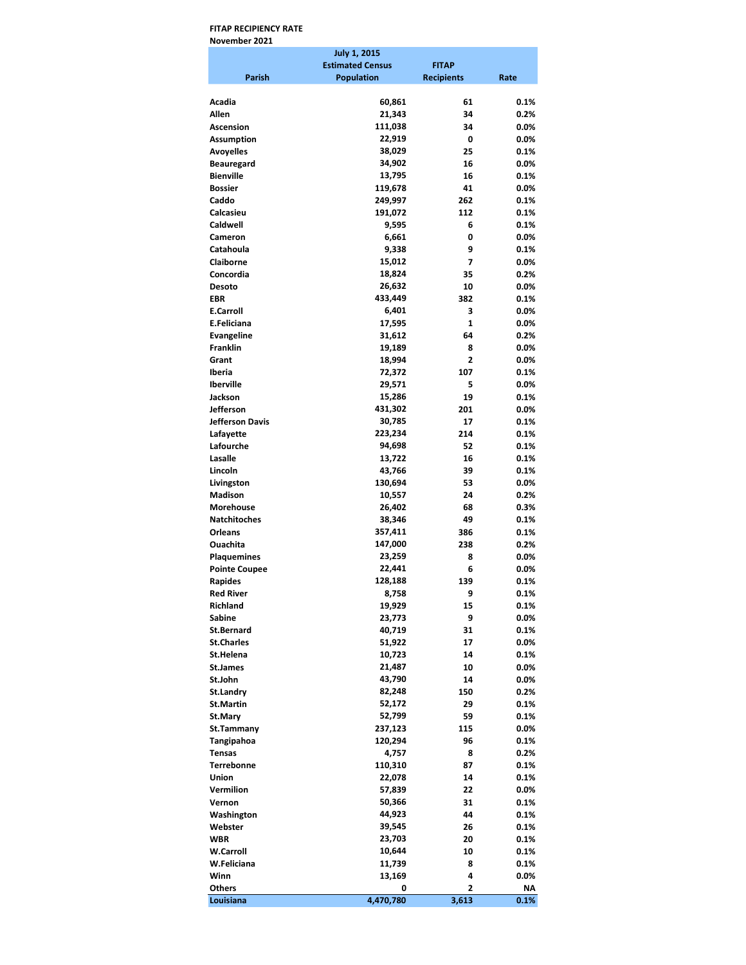## FITAP RECIPIENCY RATE November 2021

|                      | <b>July 1, 2015</b>     |                   |         |
|----------------------|-------------------------|-------------------|---------|
|                      | <b>Estimated Census</b> | <b>FITAP</b>      |         |
| Parish               | <b>Population</b>       | <b>Recipients</b> | Rate    |
|                      |                         |                   |         |
| Acadia               | 60,861                  | 61                | 0.1%    |
| Allen                | 21,343                  | 34                | 0.2%    |
| <b>Ascension</b>     | 111,038                 | 34                | $0.0\%$ |
| <b>Assumption</b>    | 22,919                  | 0                 | 0.0%    |
| Avoyelles            | 38,029                  | 25                | 0.1%    |
| <b>Beauregard</b>    | 34,902                  | 16                | 0.0%    |
| <b>Bienville</b>     | 13,795                  | 16                | 0.1%    |
| <b>Bossier</b>       | 119,678                 | 41                | $0.0\%$ |
| Caddo                | 249,997                 | 262               | 0.1%    |
| Calcasieu            | 191,072                 | 112               | 0.1%    |
| Caldwell             | 9,595                   | 6                 | 0.1%    |
| Cameron              | 6,661                   | 0                 | 0.0%    |
| Catahoula            | 9,338                   | 9                 | 0.1%    |
| Claiborne            | 15,012                  | 7                 | $0.0\%$ |
| Concordia            | 18,824                  | 35                | 0.2%    |
| Desoto               | 26,632                  | 10                | $0.0\%$ |
|                      | 433,449                 | 382               |         |
| EBR                  | 6,401                   |                   | 0.1%    |
| <b>E.Carroll</b>     |                         | 3                 | $0.0\%$ |
| E.Feliciana          | 17,595                  | 1                 | $0.0\%$ |
| Evangeline           | 31,612                  | 64                | 0.2%    |
| Franklin             | 19,189                  | 8                 | $0.0\%$ |
| Grant                | 18,994                  | 2                 | $0.0\%$ |
| Iberia               | 72,372                  | 107               | 0.1%    |
| <b>Iberville</b>     | 29,571                  | 5                 | 0.0%    |
| Jackson              | 15,286                  | 19                | 0.1%    |
| Jefferson            | 431,302                 | 201               | 0.0%    |
| Jefferson Davis      | 30,785                  | 17                | 0.1%    |
| Lafayette            | 223,234                 | 214               | 0.1%    |
| Lafourche            | 94,698                  | 52                | 0.1%    |
| Lasalle              | 13,722                  | 16                | 0.1%    |
| Lincoln              | 43,766                  | 39                | 0.1%    |
| Livingston           | 130,694                 | 53                | $0.0\%$ |
| <b>Madison</b>       | 10,557                  | 24                | 0.2%    |
| Morehouse            | 26,402                  | 68                | 0.3%    |
| <b>Natchitoches</b>  | 38,346                  | 49                | 0.1%    |
| <b>Orleans</b>       | 357,411                 | 386               | 0.1%    |
| Ouachita             | 147,000                 | 238               | 0.2%    |
| <b>Plaquemines</b>   | 23,259                  | 8                 | 0.0%    |
| <b>Pointe Coupee</b> | 22,441                  | 6                 | $0.0\%$ |
| <b>Rapides</b>       | 128,188                 | 139               | 0.1%    |
| <b>Red River</b>     | 8,758                   | 9                 | 0.1%    |
| <b>Richland</b>      | 19,929                  |                   |         |
| Sabine               |                         | 15<br>9           | 0.1%    |
|                      | 23,773                  |                   | $0.0\%$ |
| St.Bernard           | 40,719                  | 31                | 0.1%    |
| <b>St.Charles</b>    | 51,922                  | 17                | 0.0%    |
| St.Helena            | 10,723                  | 14                | 0.1%    |
| St.James             | 21,487                  | 10                | $0.0\%$ |
| St.John              | 43,790                  | 14                | $0.0\%$ |
| St.Landry            | 82,248                  | 150               | 0.2%    |
| <b>St.Martin</b>     | 52,172                  | 29                | 0.1%    |
| St.Mary              | 52,799                  | 59                | 0.1%    |
| St.Tammany           | 237,123                 | 115               | 0.0%    |
| Tangipahoa           | 120,294                 | 96                | 0.1%    |
| Tensas               | 4,757                   | 8                 | 0.2%    |
| <b>Terrebonne</b>    | 110,310                 | 87                | 0.1%    |
| <b>Union</b>         | 22,078                  | 14                | 0.1%    |
| Vermilion            | 57,839                  | 22                | 0.0%    |
| Vernon               | 50,366                  | 31                | 0.1%    |
| Washington           | 44,923                  | 44                | 0.1%    |
| Webster              | 39,545                  | 26                | 0.1%    |
| <b>WBR</b>           | 23,703                  | 20                | 0.1%    |
| <b>W.Carroll</b>     | 10,644                  | 10                | 0.1%    |
| W.Feliciana          | 11,739                  | 8                 | 0.1%    |
| Winn                 | 13,169                  | 4                 | $0.0\%$ |
| <b>Others</b>        | 0                       | 2                 | ΝΑ      |
| Louisiana            | 4,470,780               | 3,613             | 0.1%    |
|                      |                         |                   |         |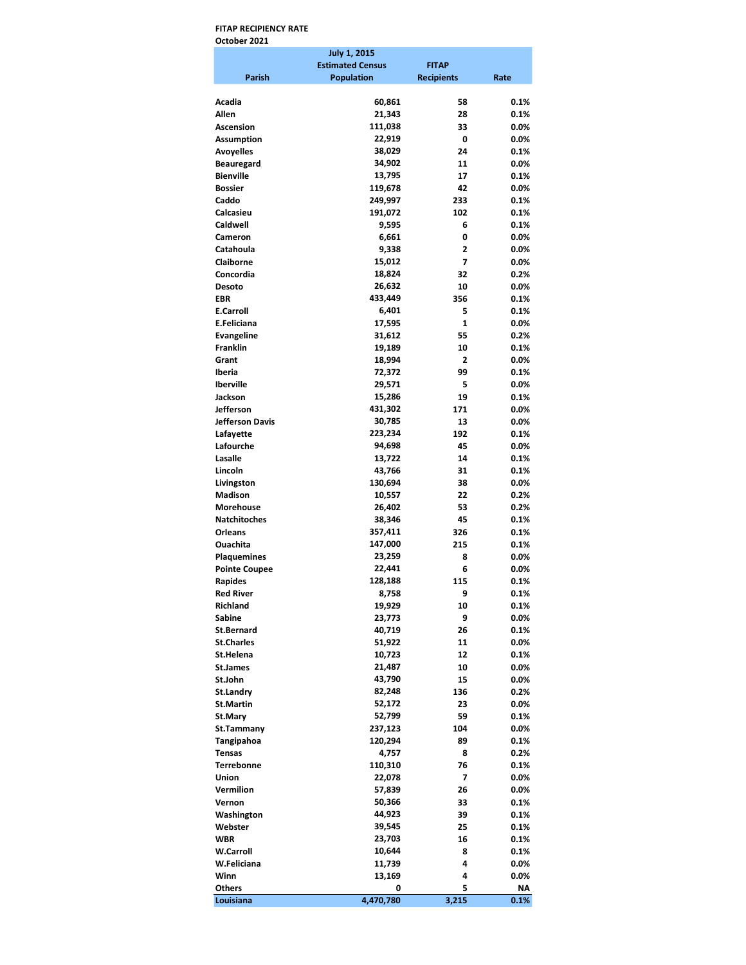# FITAP RECIPIENCY RATE October 2021

|                                   | <b>July 1, 2015</b>     |                   |                 |
|-----------------------------------|-------------------------|-------------------|-----------------|
|                                   | <b>Estimated Census</b> | <b>FITAP</b>      |                 |
| Parish                            | <b>Population</b>       | <b>Recipients</b> | Rate            |
|                                   |                         |                   |                 |
| Acadia<br>Allen                   | 60,861<br>21,343        | 58<br>28          | 0.1%<br>0.1%    |
| <b>Ascension</b>                  | 111,038                 | 33                | 0.0%            |
| <b>Assumption</b>                 | 22,919                  | 0                 | $0.0\%$         |
| <b>Avoyelles</b>                  | 38,029                  | 24                | 0.1%            |
| <b>Beauregard</b>                 | 34,902                  | 11                | 0.0%            |
| <b>Bienville</b>                  | 13,795                  | 17                | 0.1%            |
| <b>Bossier</b>                    | 119,678                 | 42                | $0.0\%$         |
| Caddo                             | 249,997                 | 233               | 0.1%            |
| Calcasieu                         | 191,072                 | 102               | 0.1%            |
| Caldwell                          | 9,595                   | 6                 | 0.1%            |
| Cameron                           | 6,661                   | 0                 | 0.0%            |
| Catahoula                         | 9,338                   | 2                 | 0.0%            |
| <b>Claiborne</b>                  | 15,012                  | 7                 | 0.0%            |
| Concordia                         | 18,824                  | 32                | 0.2%            |
| Desoto                            | 26,632                  | 10                | $0.0\%$         |
| EBR                               | 433,449                 | 356               | 0.1%            |
| <b>E.Carroll</b><br>E.Feliciana   | 6,401<br>17,595         | 5<br>1            | 0.1%<br>$0.0\%$ |
| <b>Evangeline</b>                 | 31,612                  | 55                | 0.2%            |
| <b>Franklin</b>                   | 19,189                  | 10                | 0.1%            |
| Grant                             | 18,994                  | 2                 | $0.0\%$         |
| Iberia                            | 72,372                  | 99                | 0.1%            |
| <b>Iberville</b>                  | 29,571                  | 5                 | 0.0%            |
| Jackson                           | 15,286                  | 19                | 0.1%            |
| Jefferson                         | 431,302                 | 171               | $0.0\%$         |
| Jefferson Davis                   | 30,785                  | 13                | $0.0\%$         |
| Lafayette                         | 223,234                 | 192               | 0.1%            |
| Lafourche                         | 94,698                  | 45                | $0.0\%$         |
| Lasalle                           | 13,722                  | 14                | 0.1%            |
| Lincoln                           | 43,766                  | 31                | 0.1%            |
| Livingston                        | 130,694                 | 38                | $0.0\%$         |
| <b>Madison</b>                    | 10,557                  | 22                | 0.2%            |
| <b>Morehouse</b>                  | 26,402                  | 53                | 0.2%            |
| <b>Natchitoches</b>               | 38,346                  | 45                | 0.1%            |
| <b>Orleans</b><br><b>Ouachita</b> | 357,411<br>147,000      | 326<br>215        | 0.1%<br>0.1%    |
| <b>Plaquemines</b>                | 23,259                  | 8                 | 0.0%            |
| <b>Pointe Coupee</b>              | 22,441                  | 6                 | $0.0\%$         |
| <b>Rapides</b>                    | 128,188                 | 115               | 0.1%            |
| <b>Red River</b>                  | 8,758                   | 9                 | 0.1%            |
| Richland                          | 19,929                  | 10                | 0.1%            |
| Sabine                            | 23,773                  | 9                 | 0.0%            |
| <b>St.Bernard</b>                 | 40,719                  | 26                | 0.1%            |
| <b>St.Charles</b>                 | 51,922                  | 11                | 0.0%            |
| St.Helena                         | 10,723                  | 12                | 0.1%            |
| St.James                          | 21,487                  | 10                | 0.0%            |
| St.John                           | 43,790                  | 15                | 0.0%            |
| St.Landry                         | 82,248                  | 136               | 0.2%            |
| <b>St.Martin</b>                  | 52,172                  | 23                | 0.0%            |
| St.Mary                           | 52,799                  | 59                | 0.1%            |
| St.Tammany                        | 237,123                 | 104               | 0.0%            |
| Tangipahoa<br><b>Tensas</b>       | 120,294<br>4,757        | 89<br>8           | 0.1%<br>0.2%    |
| Terrebonne                        | 110,310                 | 76                | $0.1\%$         |
| Union                             | 22,078                  | 7                 | $0.0\%$         |
| Vermilion                         | 57,839                  | 26                | $0.0\%$         |
| Vernon                            | 50,366                  | 33                | $0.1\%$         |
| Washington                        | 44,923                  | 39                | $0.1\%$         |
| Webster                           | 39,545                  | 25                | 0.1%            |
| WBR                               | 23,703                  | 16                | 0.1%            |
| <b>W.Carroll</b>                  | 10,644                  | 8                 | $0.1\%$         |
| W.Feliciana                       | 11,739                  | 4                 | 0.0%            |
| Winn                              | 13,169                  | 4                 | $0.0\%$         |
| Others                            | 0                       | 5                 | ΝA              |
| Louisiana                         | 4,470,780               | 3,215             | 0.1%            |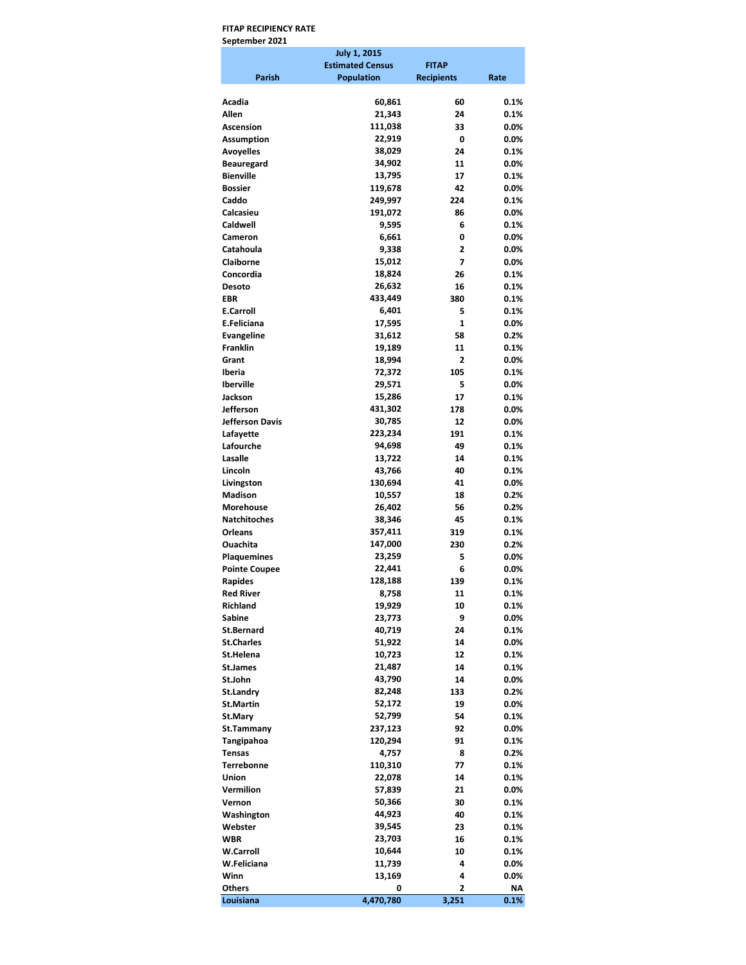## FITAP RECIPIENCY RATE September 2021

|                                        | <b>July 1, 2015</b>     |                      |                 |
|----------------------------------------|-------------------------|----------------------|-----------------|
|                                        | <b>Estimated Census</b> | <b>FITAP</b>         |                 |
| Parish                                 | <b>Population</b>       | <b>Recipients</b>    | Rate            |
|                                        |                         |                      |                 |
| Acadia<br>Allen                        | 60,861<br>21,343        | 60                   | 0.1%            |
| Ascension                              | 111,038                 | 24<br>33             | 0.1%<br>$0.0\%$ |
| <b>Assumption</b>                      | 22,919                  | 0                    | 0.0%            |
| Avoyelles                              | 38,029                  | 24                   | 0.1%            |
| Beauregard                             | 34,902                  | 11                   | 0.0%            |
| <b>Bienville</b>                       | 13,795                  | 17                   | 0.1%            |
| <b>Bossier</b>                         | 119,678                 | 42                   | $0.0\%$         |
| Caddo                                  | 249,997                 | 224                  | 0.1%            |
| Calcasieu                              | 191,072                 | 86                   | 0.0%            |
| Caldwell                               | 9,595                   | 6                    | 0.1%            |
| Cameron                                | 6,661                   | 0                    | 0.0%            |
| Catahoula                              | 9,338                   | 2                    | 0.0%            |
| Claiborne                              | 15,012                  | 7                    | $0.0\%$         |
| Concordia                              | 18,824                  | 26                   | 0.1%            |
| Desoto                                 | 26,632                  | 16                   | 0.1%            |
| EBR                                    | 433,449                 | 380                  | 0.1%            |
| <b>E.Carroll</b>                       | 6,401                   | 5                    | 0.1%            |
| E.Feliciana                            | 17,595                  | 1                    | $0.0\%$         |
| <b>Evangeline</b><br>Franklin          | 31,612<br>19,189        | 58                   | 0.2%<br>0.1%    |
| Grant                                  | 18,994                  | 11<br>$\overline{2}$ | 0.0%            |
| Iberia                                 | 72,372                  | 105                  | 0.1%            |
| <b>Iberville</b>                       | 29,571                  | 5                    | 0.0%            |
| Jackson                                | 15,286                  | 17                   | 0.1%            |
| Jefferson                              | 431,302                 | 178                  | 0.0%            |
| Jefferson Davis                        | 30,785                  | 12                   | 0.0%            |
| Lafayette                              | 223,234                 | 191                  | 0.1%            |
| Lafourche                              | 94,698                  | 49                   | 0.1%            |
| Lasalle                                | 13,722                  | 14                   | 0.1%            |
| Lincoln                                | 43,766                  | 40                   | 0.1%            |
| Livingston                             | 130,694                 | 41                   | 0.0%            |
| Madison                                | 10,557                  | 18                   | 0.2%            |
| <b>Morehouse</b>                       | 26,402                  | 56                   | 0.2%            |
| <b>Natchitoches</b>                    | 38,346                  | 45                   | 0.1%            |
| Orleans                                | 357,411                 | 319                  | 0.1%            |
| Ouachita                               | 147,000                 | 230                  | 0.2%            |
| <b>Plaquemines</b>                     | 23,259                  | 5                    | 0.0%            |
| <b>Pointe Coupee</b><br><b>Rapides</b> | 22,441<br>128,188       | 6<br>139             | $0.0\%$<br>0.1% |
| <b>Red River</b>                       | 8,758                   | 11                   | 0.1%            |
| Richland                               | 19,929                  | 10                   | 0.1%            |
| Sabine                                 | 23,773                  | 9                    | $0.0\%$         |
| St.Bernard                             | 40,719                  | 24                   | 0.1%            |
| <b>St.Charles</b>                      | 51,922                  | 14                   | 0.0%            |
| St.Helena                              | 10,723                  | 12                   | 0.1%            |
| St.James                               | 21,487                  | 14                   | 0.1%            |
| St.John                                | 43,790                  | 14                   | 0.0%            |
| St.Landry                              | 82,248                  | 133                  | 0.2%            |
| <b>St.Martin</b>                       | 52,172                  | 19                   | 0.0%            |
| St.Mary                                | 52,799                  | 54                   | 0.1%            |
| St.Tammany                             | 237,123                 | 92                   | 0.0%            |
| Tangipahoa                             | 120,294                 | 91                   | 0.1%            |
| <b>Tensas</b>                          | 4,757                   | 8                    | 0.2%            |
| Terrebonne                             | 110,310                 | 77                   | 0.1%            |
| Union                                  | 22,078                  | 14                   | 0.1%            |
| Vermilion<br>Vernon                    | 57,839<br>50,366        | 21<br>30             | 0.0%<br>0.1%    |
| Washington                             | 44,923                  | 40                   | 0.1%            |
| Webster                                | 39,545                  | 23                   | 0.1%            |
| WBR                                    | 23,703                  | 16                   | 0.1%            |
| <b>W.Carroll</b>                       | 10,644                  | 10                   | 0.1%            |
| W.Feliciana                            | 11,739                  | 4                    | 0.0%            |
| Winn                                   | 13,169                  | 4                    | 0.0%            |
| Others                                 | 0                       | 2                    | ΝA              |
| Louisiana                              | 4,470,780               | 3,251                | 0.1%            |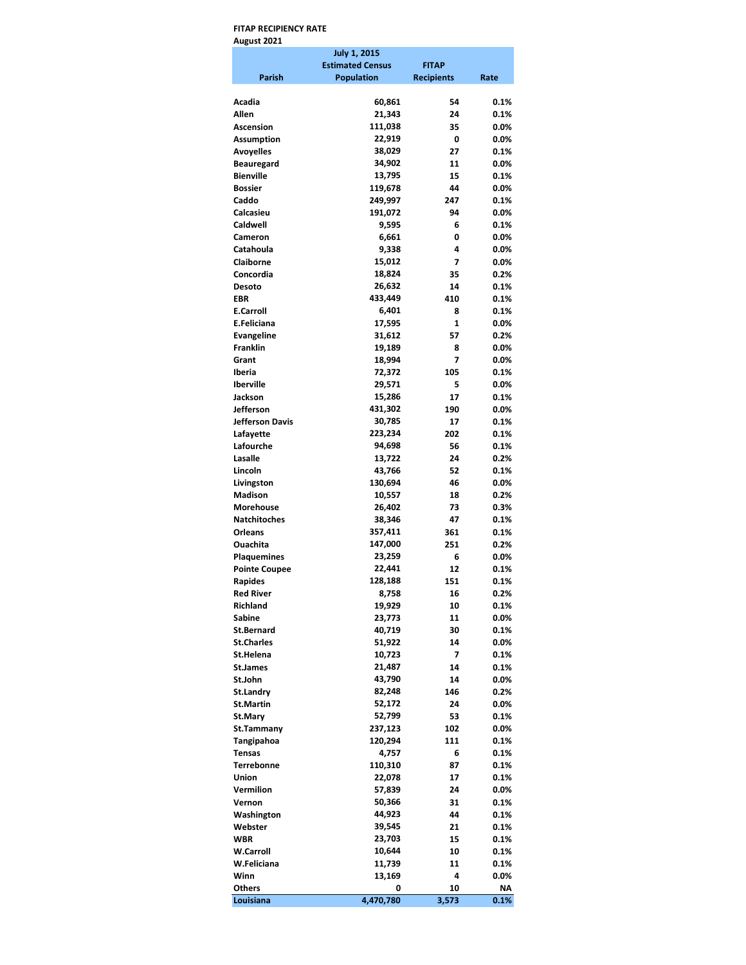# FITAP RECIPIENCY RATE August 2021

|                              | <b>July 1, 2015</b>     |                   |                 |
|------------------------------|-------------------------|-------------------|-----------------|
|                              | <b>Estimated Census</b> | <b>FITAP</b>      |                 |
| Parish                       | <b>Population</b>       | <b>Recipients</b> | Rate            |
|                              |                         |                   |                 |
| Acadia<br>Allen              | 60,861<br>21,343        | 54<br>24          | 0.1%<br>0.1%    |
| <b>Ascension</b>             | 111,038                 | 35                | 0.0%            |
| Assumption                   | 22,919                  | 0                 | 0.0%            |
| Avoyelles                    | 38,029                  | 27                | 0.1%            |
| <b>Beauregard</b>            | 34,902                  | 11                | 0.0%            |
| <b>Bienville</b>             | 13,795                  | 15                | 0.1%            |
| <b>Bossier</b>               | 119,678                 | 44                | 0.0%            |
| Caddo                        | 249,997                 | 247               | 0.1%            |
| Calcasieu                    | 191,072                 | 94                | 0.0%            |
| Caldwell                     | 9,595                   | 6                 | 0.1%            |
| Cameron                      | 6,661                   | 0                 | 0.0%            |
| Catahoula                    | 9,338                   | 4                 | 0.0%            |
| <b>Claiborne</b>             | 15,012                  | 7                 | 0.0%            |
| Concordia                    | 18,824                  | 35                | 0.2%            |
| Desoto                       | 26,632                  | 14                | 0.1%            |
| EBR                          | 433,449                 | 410               | 0.1%            |
| <b>E.Carroll</b>             | 6,401                   | 8                 | 0.1%            |
| E.Feliciana                  | 17,595                  | 1                 | 0.0%            |
| <b>Evangeline</b>            | 31,612                  | 57                | 0.2%            |
| <b>Franklin</b>              | 19,189                  | 8                 | 0.0%            |
| Grant                        | 18,994                  | 7                 | 0.0%            |
| Iberia                       | 72,372                  | 105               | 0.1%            |
| Iberville                    | 29,571                  | 5                 | 0.0%            |
| Jackson                      | 15,286                  | 17                | 0.1%            |
| Jefferson                    | 431,302                 | 190               | 0.0%            |
| Jefferson Davis<br>Lafayette | 30,785<br>223,234       | 17<br>202         | 0.1%<br>0.1%    |
| Lafourche                    | 94,698                  | 56                | 0.1%            |
| Lasalle                      | 13,722                  | 24                | 0.2%            |
| Lincoln                      | 43,766                  | 52                | 0.1%            |
| Livingston                   | 130,694                 | 46                | 0.0%            |
| <b>Madison</b>               | 10,557                  | 18                | 0.2%            |
| <b>Morehouse</b>             | 26,402                  | 73                | 0.3%            |
| <b>Natchitoches</b>          | 38,346                  | 47                | 0.1%            |
| <b>Orleans</b>               | 357,411                 | 361               | 0.1%            |
| Ouachita                     | 147,000                 | 251               | 0.2%            |
| <b>Plaquemines</b>           | 23,259                  | 6                 | 0.0%            |
| <b>Pointe Coupee</b>         | 22,441                  | 12                | 0.1%            |
| <b>Rapides</b>               | 128,188                 | 151               | 0.1%            |
| <b>Red River</b>             | 8,758                   | 16                | 0.2%            |
| <b>Richland</b>              | 19,929                  | 10                | 0.1%            |
| Sabine                       | 23,773                  | 11                | $0.0\%$         |
| <b>St.Bernard</b>            | 40,719                  | 30                | 0.1%            |
| <b>St.Charles</b>            | 51,922                  | 14                | 0.0%            |
| St.Helena                    | 10,723                  | 7                 | 0.1%            |
| St.James                     | 21,487                  | 14                | 0.1%            |
| St.John                      | 43,790                  | 14                | 0.0%            |
| St.Landry                    | 82,248                  | 146               | 0.2%            |
| <b>St.Martin</b>             | 52,172<br>52,799        | 24                | 0.0%            |
| St.Mary<br>St.Tammany        | 237,123                 | 53                | 0.1%<br>$0.0\%$ |
| Tangipahoa                   | 120,294                 | 102<br>111        | 0.1%            |
| Tensas                       | 4,757                   | 6                 | 0.1%            |
| Terrebonne                   | 110,310                 | 87                | 0.1%            |
| Union                        | 22,078                  | 17                | 0.1%            |
| Vermilion                    | 57,839                  | 24                | $0.0\%$         |
| Vernon                       | 50,366                  | 31                | 0.1%            |
| Washington                   | 44,923                  | 44                | 0.1%            |
| Webster                      | 39,545                  | 21                | 0.1%            |
| WBR                          | 23,703                  | 15                | 0.1%            |
| <b>W.Carroll</b>             | 10,644                  | 10                | 0.1%            |
| W.Feliciana                  | 11,739                  | 11                | 0.1%            |
| Winn                         | 13,169                  | 4                 | $0.0\%$         |
| <b>Others</b>                | 0                       | 10                | NΑ              |
| Louisiana                    | 4,470,780               | 3,573             | 0.1%            |